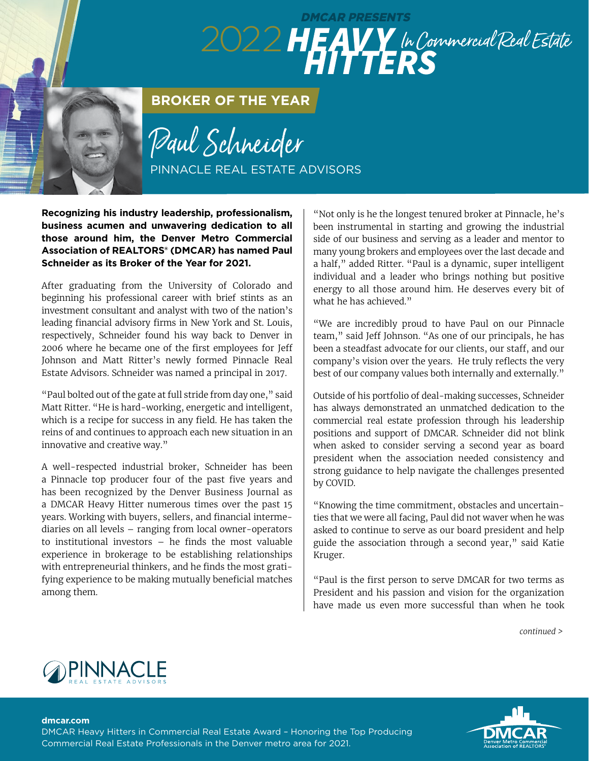## DMCAR PRESENTS 2022 HEAVY In Commercial Real Estate

**BROKER OF THE YEAR**

Paul Schneider PINNACLE REAL ESTATE ADVISORS

**Recognizing his industry leadership, professionalism, business acumen and unwavering dedication to all those around him, the Denver Metro Commercial Association of REALTORS® (DMCAR) has named Paul Schneider as its Broker of the Year for 2021.** 

After graduating from the University of Colorado and beginning his professional career with brief stints as an investment consultant and analyst with two of the nation's leading financial advisory firms in New York and St. Louis, respectively, Schneider found his way back to Denver in 2006 where he became one of the first employees for Jeff Johnson and Matt Ritter's newly formed Pinnacle Real Estate Advisors. Schneider was named a principal in 2017.

"Paul bolted out of the gate at full stride from day one," said Matt Ritter. "He is hard-working, energetic and intelligent, which is a recipe for success in any field. He has taken the reins of and continues to approach each new situation in an innovative and creative way."

A well-respected industrial broker, Schneider has been a Pinnacle top producer four of the past five years and has been recognized by the Denver Business Journal as a DMCAR Heavy Hitter numerous times over the past 15 years. Working with buyers, sellers, and financial intermediaries on all levels – ranging from local owner-operators to institutional investors – he finds the most valuable experience in brokerage to be establishing relationships with entrepreneurial thinkers, and he finds the most gratifying experience to be making mutually beneficial matches among them.

"Not only is he the longest tenured broker at Pinnacle, he's been instrumental in starting and growing the industrial side of our business and serving as a leader and mentor to many young brokers and employees over the last decade and a half," added Ritter. "Paul is a dynamic, super intelligent individual and a leader who brings nothing but positive energy to all those around him. He deserves every bit of what he has achieved."

"We are incredibly proud to have Paul on our Pinnacle team," said Jeff Johnson. "As one of our principals, he has been a steadfast advocate for our clients, our staff, and our company's vision over the years. He truly reflects the very best of our company values both internally and externally."

Outside of his portfolio of deal-making successes, Schneider has always demonstrated an unmatched dedication to the commercial real estate profession through his leadership positions and support of DMCAR. Schneider did not blink when asked to consider serving a second year as board president when the association needed consistency and strong guidance to help navigate the challenges presented by COVID.

"Knowing the time commitment, obstacles and uncertainties that we were all facing, Paul did not waver when he was asked to continue to serve as our board president and help guide the association through a second year," said Katie Kruger.

"Paul is the first person to serve DMCAR for two terms as President and his passion and vision for the organization have made us even more successful than when he took

*continued >* 



## **dmcar.com**

DMCAR Heavy Hitters in Commercial Real Estate Award – Honoring the Top Producing Commercial Real Estate Professionals in the Denver metro area for 2021.